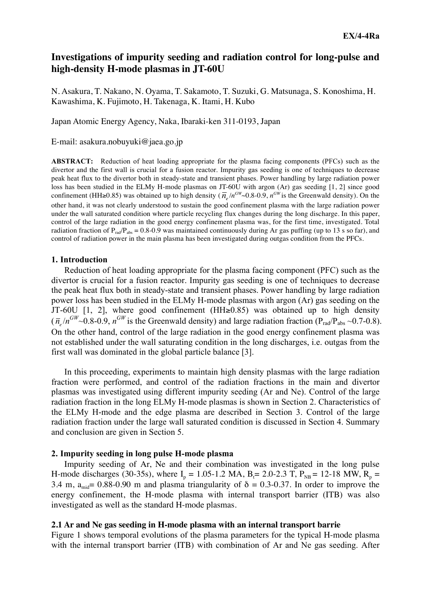# **Investigations of impurity seeding and radiation control for long-pulse and high-density H-mode plasmas in JT-60U**

N. Asakura, T. Nakano, N. Oyama, T. Sakamoto, T. Suzuki, G. Matsunaga, S. Konoshima, H. Kawashima, K. Fujimoto, H. Takenaga, K. Itami, H. Kubo

Japan Atomic Energy Agency, Naka, Ibaraki-ken 311-0193, Japan

E-mail: asakura.nobuyuki@jaea.go.jp

**ABSTRACT:** Reduction of heat loading appropriate for the plasma facing components (PFCs) such as the divertor and the first wall is crucial for a fusion reactor. Impurity gas seeding is one of techniques to decrease peak heat flux to the divertor both in steady-state and transient phases. Power handling by large radiation power loss has been studied in the ELMy H-mode plasmas on JT-60U with argon (Ar) gas seeding [1, 2] since good confinement (HH≥0.85) was obtained up to high density ( $\overline{n}_e/n^{GW}$  0.8-0.9,  $n^{GW}$  is the Greenwald density). On the radiation fraction of  $P_{rad}/P_{abs} = 0.8-0.9$  was maintained continuously during Ar gas puffing (up to 13 s so far), and other hand, it was not clearly understood to sustain the good confinement plasma with the large radiation power under the wall saturated condition where particle recycling flux changes during the long discharge. In this paper, control of the large radiation in the good energy confinement plasma was, for the first time, investigated. Total control of radiation power in the main plasma has been investigated during outgas condition from the PFCs.

### **1. Introduction**

 Reduction of heat loading appropriate for the plasma facing component (PFC) such as the divertor is crucial for a fusion reactor. Impurity gas seeding is one of techniques to decrease the peak heat flux both in steady-state and transient phases. Power handling by large radiation power loss has been studied in the ELMy H-mode plasmas with argon (Ar) gas seeding on the JT-60U [1, 2], where good confinement (HH≥0.85) was obtained up to high density  $(\bar{n}_e/n^{GW}$ ~0.8-0.9,  $n^{GW}$  is the Greenwald density) and large radiation fraction (P<sub>rad</sub>/P<sub>abs</sub> ~0.7-0.8). On the other hand, control of the large radiation in the good energy confinement plasma was not established under the wall saturating condition in the long discharges, i.e. outgas from the first wall was dominated in the global particle balance [3].

 In this proceeding, experiments to maintain high density plasmas with the large radiation fraction were performed, and control of the radiation fractions in the main and divertor plasmas was investigated using different impurity seeding (Ar and Ne). Control of the large radiation fraction in the long ELMy H-mode plasmas is shown in Section 2. Characteristics of the ELMy H-mode and the edge plasma are described in Section 3. Control of the large radiation fraction under the large wall saturated condition is discussed in Section 4. Summary and conclusion are given in Section 5.

## **2. Impurity seeding in long pulse H-mode plasma**

 Impurity seeding of Ar, Ne and their combination was investigated in the long pulse H-mode discharges (30-35s), where  $I_p = 1.05$ -1.2 MA,  $B_f = 2.0$ -2.3 T,  $P_{NB} = 12$ -18 MW,  $R_p =$ 3.4 m,  $a_{mid} = 0.88-0.90$  m and plasma triangularity of  $\delta = 0.3-0.37$ . In order to improve the energy confinement, the H-mode plasma with internal transport barrier (ITB) was also investigated as well as the standard H-mode plasmas.

### **2.1 Ar and Ne gas seeding in H-mode plasma with an internal transport barrie**

Figure 1 shows temporal evolutions of the plasma parameters for the typical H-mode plasma with the internal transport barrier (ITB) with combination of Ar and Ne gas seeding. After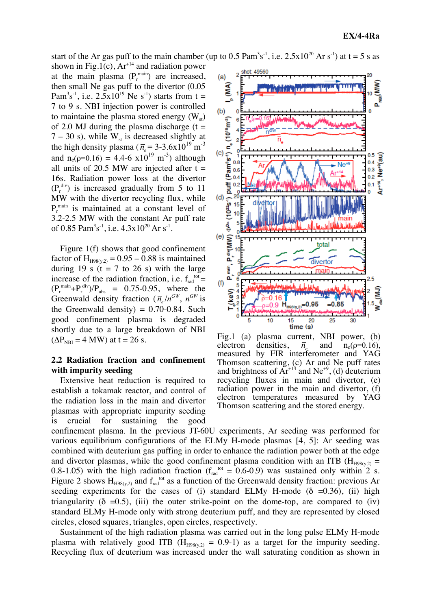start of the Ar gas puff to the main chamber (up to 0.5  $\text{Pam}^3\text{s}^{-1}$ , i.e.  $2.5 \times 10^{20}$  Ar s<sup>-1</sup>) at t = 5 s as

shown in Fig.1(c),  $Ar^{14}$  and radiation power at the main plasma  $(P_r^{\text{main}})$  are increased, then small Ne gas puff to the divertor (0.05 Pam<sup>3</sup>s<sup>-1</sup>, i.e. 2.5x10<sup>19</sup> Ne s<sup>-1</sup>) starts from t = 7 to 9 s. NBI injection power is controlled to maintaine the plasma stored energy  $(W_{st})$ of 2.0 MJ during the plasma discharge  $(t =$  $7 - 30$  s), while W<sub>st</sub> is decreased slightly at the high density plasma ( $\overline{n}_e$  = 3-3.6x10<sup>19</sup> m<sup>-3</sup>  $(P_r^{\text{div}})$  is increased gradually from 5 to 11 and  $n_e(\rho=0.16) = 4.4-6 \times 10^{19} \text{ m}^{-3}$  although all units of 20.5 MW are injected after  $t =$ 16s. Radiation power loss at the divertor MW with the divertor recycling flux, while  $P_r^{\text{main}}$  is maintained at a constant level of 3.2-2.5 MW with the constant Ar puff rate of 0.85 Pam<sup>3</sup>s<sup>-1</sup>, i.e.  $4.3x10^{20}$  Ar s<sup>-1</sup>.

Figure 1(f) shows that good confinement factor of  $H_{H98(y,2)} = 0.95 - 0.88$  is maintained during 19 s  $(t = 7$  to 26 s) with the large increase of the radiation fraction, i.e.  $f_{rad}^{tot}$  =  $(P_r^{\text{main}}+P_r^{\text{div}})/P_{\text{abs}} = 0.75{\text -}0.95$ , where the Greenwald density fraction  $(\bar{n}_e/n^{GW}, n^{GW})$  is  $(\Delta P_{\text{NBI}} = 4 \text{ MW})$  at t = 26 s. the Greenwald density) =  $0.70 - 0.84$ . Such good confinement plasma is degraded shortly due to a large breakdown of NBI

# **2.2 Radiation fraction and confinement with impurity seeding**

Extensive heat reduction is required to establish a tokamak reactor, and control of the radiation loss in the main and divertor plasmas with appropriate impurity seeding is crucial for sustaining the good



Fig.1 (a) plasma current, NBI power, (b) electron densities, recycling fluxes in main and divertor, (e)  $\overline{n}_{e}$  and n<sub>e</sub>( $\rho$ =0.16), measured by FIR interferometer and YAG Thomson scattering, (c) Ar and Ne puff rates and brightness of  $Ar^{14}$  and  $Ne^{+9}$ , (d) deuterium radiation power in the main and divertor, (f) electron temperatures measured by YAG Thomson scattering and the stored energy.

confinement plasma. In the previous JT-60U experiments, Ar seeding was performed for various equilibrium configurations of the ELMy H-mode plasmas [4, 5]: Ar seeding was combined with deuterium gas puffing in order to enhance the radiation power both at the edge and divertor plasmas, while the good confinement plasma condition with an ITB ( $H_{H98(v,2)}$  = 0.8-1.05) with the high radiation fraction ( $f_{rad}^{tot} = 0.6$ -0.9) was sustained only within 2 s. Figure 2 shows  $H_{H98(y,2)}$  and  $f_{rad}^{tot}$  as a function of the Greenwald density fraction: previous Ar seeding experiments for the cases of (i) standard ELMy H-mode ( $\delta$  =0.36), (ii) high triangularity ( $\delta = 0.5$ ), (iii) the outer strike-point on the dome-top, are compared to (iv) standard ELMy H-mode only with strong deuterium puff, and they are represented by closed circles, closed squares, triangles, open circles, respectively.

 Sustainment of the high radiation plasma was carried out in the long pulse ELMy H-mode plasma with relatively good ITB ( $H_{H98(v,2)} = 0.9$ -1) as a target for the impurity seeding. Recycling flux of deuterium was increased under the wall saturating condition as shown in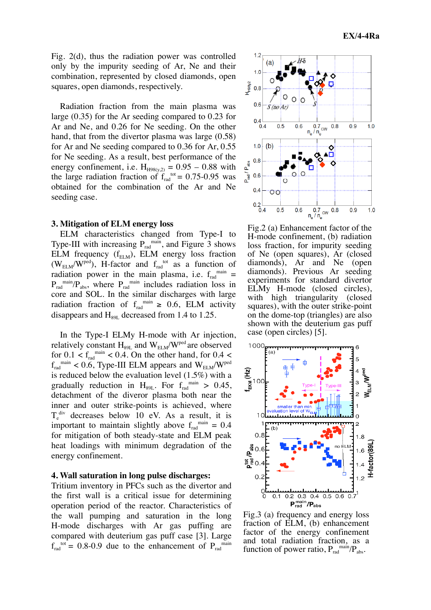Fig. 2(d), thus the radiation power was controlled only by the impurity seeding of Ar, Ne and their combination, represented by closed diamonds, open squares, open diamonds, respectively.

 Radiation fraction from the main plasma was large (0.35) for the Ar seeding compared to 0.23 for Ar and Ne, and 0.26 for Ne seeding. On the other hand, that from the divertor plasma was large (0.58) for Ar and Ne seeding compared to 0.36 for Ar, 0.55 for Ne seeding. As a result, best performance of the energy confinement, i.e.  $H_{H98(y,2)} = 0.95 - 0.88$  with the large radiation fraction of  $f_{rad}^{tot} = 0.75{\text -}0.95$  was obtained for the combination of the Ar and Ne seeding case.

### **3. Mitigation of ELM energy loss**

 ELM characteristics changed from Type-I to Type-III with increasing  $P_{rad}^{main}$ , and Figure 3 shows ELM frequency  $(f_{\text{ELM}})$ , ELM energy loss fraction  $(W_{ELM}/W^{ped})$ , H-factor and  $f_{rad}^{tot}$  as a function of radiation power in the main plasma, i.e.  $f_{rad}^{main}$  =  $P_{rad}^{main}/P_{abs}$ , where  $P_{rad}^{main}$  includes radiation loss in core and SOL. In the similar discharges with large radiation fraction of  $f_{rad}^{min} \ge 0.6$ , ELM activity disappears and  $H_{89L}$  decreased from 1.4 to 1.25.

 In the Type-I ELMy H-mode with Ar injection, relatively constant  $H_{89L}$  and  $W_{ELM}/W^{ped}$  are observed for  $0.1 < f_{rad}^{main} < 0.4$ . On the other hand, for  $0.4 <$  $f_{rad}^{main}$  < 0.6, Type-III ELM appears and  $W_{ELM}/W^{ped}$ is reduced below the evaluation level (1.5%) with a gradually reduction in  $H_{89L}$ . For  $f_{rad}^{main} > 0.45$ , detachment of the diveror plasma both near the inner and outer strike-points is achieved, where  $T_e^{div}$  decreases below 10 eV. As a result, it is important to maintain slightly above  $f_{rad}^{main} = 0.4$ for mitigation of both steady-state and ELM peak heat loadings with minimum degradation of the energy confinement.

### **4. Wall saturation in long pulse discharges:**

Tritium inventory in PFCs such as the divertor and the first wall is a critical issue for determining operation period of the reactor. Characteristics of the wall pumping and saturation in the long H-mode discharges with Ar gas puffing are compared with deuterium gas puff case [3]. Large  $f_{rad}^{tot} = 0.8{\text -}0.9$  due to the enhancement of  $P_{rad}^{min}$ 



Fig.2 (a) Enhancement factor of the H-mode confinement, (b) radiation loss fraction, for impurity seeding of Ne (open squares), Ar (closed diamonds), Ar and Ne (open diamonds). Previous Ar seeding experiments for standard divertor ELMy H-mode (closed circles), with high triangularity (closed squares), with the outer strike-point on the dome-top (triangles) are also shown with the deuterium gas puff case (open circles) [5].



Fig.3 (a) frequency and energy loss fraction of ELM, (b) enhancement factor of the energy confinement and total radiation fraction, as a function of power ratio,  $P_{rad}^{main}/P_{abs}$ .